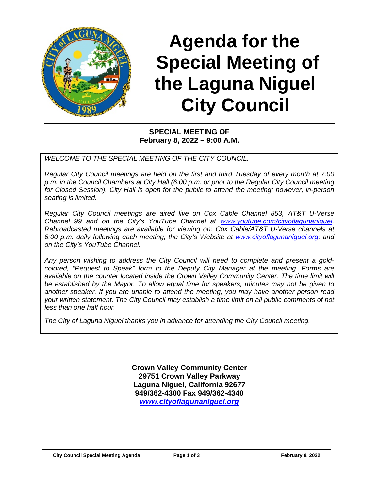

# **Agenda for the Special Meeting of the Laguna Niguel City Council**

#### **SPECIAL MEETING OF February 8, 2022 – 9:00 A.M.**

*WELCOME TO THE SPECIAL MEETING OF THE CITY COUNCIL.*

*Regular City Council meetings are held on the first and third Tuesday of every month at 7:00 p.m. in the Council Chambers at City Hall (6:00 p.m. or prior to the Regular City Council meeting for Closed Session). City Hall is open for the public to attend the meeting; however, in-person seating is limited.* 

*Regular City Council meetings are aired live on Cox Cable Channel 853, AT&T U-Verse Channel 99 and on the City's YouTube Channel at [www.youtube.com/cityoflagunaniguel.](http://www.youtube.com/cityoflagunaniguel) Rebroadcasted meetings are available for viewing on: Cox Cable/AT&T U-Verse channels at 6:00 p.m. daily following each meeting; the City's Website at [www.cityoflagunaniguel.org;](http://www.cityoflagunaniguel.org/) and on the City's YouTube Channel.*

*Any person wishing to address the City Council will need to complete and present a goldcolored, "Request to Speak" form to the Deputy City Manager at the meeting. Forms are available on the counter located inside the Crown Valley Community Center. The time limit will be established by the Mayor. To allow equal time for speakers, minutes may not be given to another speaker. If you are unable to attend the meeting, you may have another person read your written statement. The City Council may establish a time limit on all public comments of not less than one half hour.* 

*The City of Laguna Niguel thanks you in advance for attending the City Council meeting.* 

**Crown Valley Community Center 29751 Crown Valley Parkway Laguna Niguel, California 92677 949/362-4300 Fax 949/362-4340** *[www.cityoflagunaniguel.org](http://www.cityoflagunaniguel.org/)*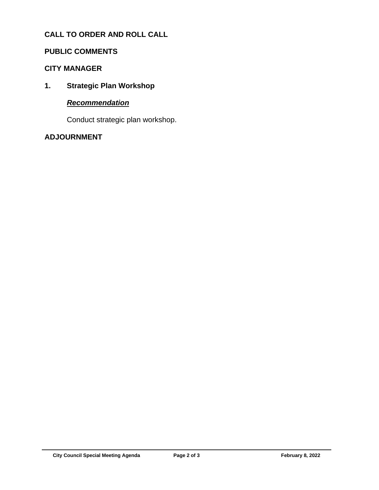# **CALL TO ORDER AND ROLL CALL**

#### **PUBLIC COMMENTS**

#### **CITY MANAGER**

**1. Strategic Plan Workshop**

## *Recommendation*

Conduct strategic plan workshop.

# **ADJOURNMENT**